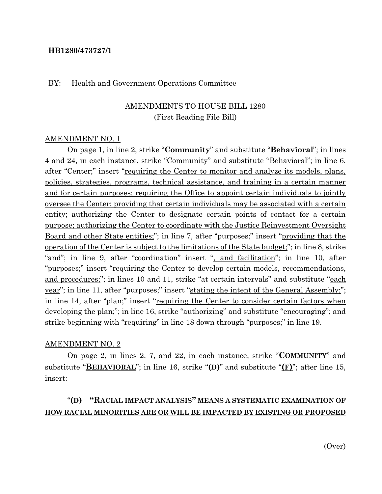#### **HB1280/473727/1**

#### BY: Health and Government Operations Committee

### AMENDMENTS TO HOUSE BILL 1280 (First Reading File Bill)

#### AMENDMENT NO. 1

On page 1, in line 2, strike "**Community**" and substitute "**Behavioral**"; in lines 4 and 24, in each instance, strike "Community" and substitute "**Behavioral**"; in line 6, after "Center;" insert "<u>requiring the Center to monitor and analyze its models, plans,</u> policies, strategies, programs, technical assistance, and training in a certain manner and for certain purposes; requiring the Office to appoint certain individuals to jointly oversee the Center; providing that certain individuals may be associated with a certain entity; authorizing the Center to designate certain points of contact for a certain purpose; authorizing the Center to coordinate with the Justice Reinvestment Oversight Board and other State entities;"; in line 7, after "purposes;" insert "providing that the operation of the Center is subject to the limitations of the State budget;"; in line 8, strike "and"; in line 9, after "coordination" insert ", and facilitation"; in line 10, after "purposes;" insert "requiring the Center to develop certain models, recommendations, and procedures;"; in lines 10 and 11, strike "at certain intervals" and substitute "each year"; in line 11, after "purposes;" insert "stating the intent of the General Assembly;"; in line 14, after "plan;" insert "<u>requiring the Center to consider certain factors when</u> developing the plan;"; in line 16, strike "authorizing" and substitute "encouraging"; and strike beginning with "requiring" in line 18 down through "purposes;" in line 19.

#### AMENDMENT NO. 2

On page 2, in lines 2, 7, and 22, in each instance, strike "**COMMUNITY**" and substitute "**BEHAVIORAL**"; in line 16, strike "**(D)**" and substitute "**(F)**"; after line 15, insert:

### "**(D) "RACIAL IMPACT ANALYSIS" MEANS A SYSTEMATIC EXAMINATION OF HOW RACIAL MINORITIES ARE OR WILL BE IMPACTED BY EXISTING OR PROPOSED**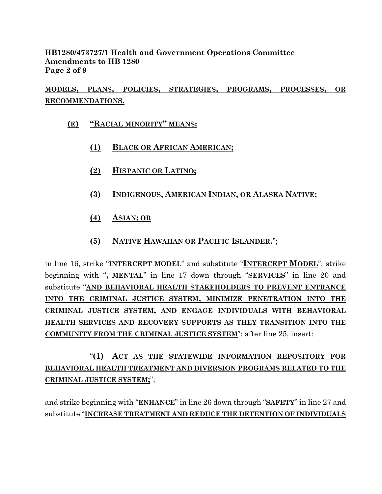### **HB1280/473727/1 Health and Government Operations Committee Amendments to HB 1280 Page 2 of 9**

# **MODELS, PLANS, POLICIES, STRATEGIES, PROGRAMS, PROCESSES, OR RECOMMENDATIONS.**

- **(E) "RACIAL MINORITY" MEANS:**
	- **(1) BLACK OR AFRICAN AMERICAN;**
	- **(2) HISPANIC OR LATINO;**
	- **(3) INDIGENOUS, AMERICAN INDIAN, OR ALASKA NATIVE;**
	- **(4) ASIAN; OR**
	- **(5) NATIVE HAWAIIAN OR PACIFIC ISLANDER.**";

in line 16, strike "**INTERCEPT MODEL**" and substitute "**INTERCEPT MODEL**"; strike beginning with "**, MENTAL**" in line 17 down through "**SERVICES**" in line 20 and substitute "**AND BEHAVIORAL HEALTH STAKEHOLDERS TO PREVENT ENTRANCE INTO THE CRIMINAL JUSTICE SYSTEM, MINIMIZE PENETRATION INTO THE CRIMINAL JUSTICE SYSTEM, AND ENGAGE INDIVIDUALS WITH BEHAVIORAL HEALTH SERVICES AND RECOVERY SUPPORTS AS THEY TRANSITION INTO THE COMMUNITY FROM THE CRIMINAL JUSTICE SYSTEM**"; after line 25, insert:

# "**(1) ACT AS THE STATEWIDE INFORMATION REPOSITORY FOR BEHAVIORAL HEALTH TREATMENT AND DIVERSION PROGRAMS RELATED TO THE CRIMINAL JUSTICE SYSTEM;**";

and strike beginning with "**ENHANCE**" in line 26 down through "**SAFETY**" in line 27 and substitute "**INCREASE TREATMENT AND REDUCE THE DETENTION OF INDIVIDUALS**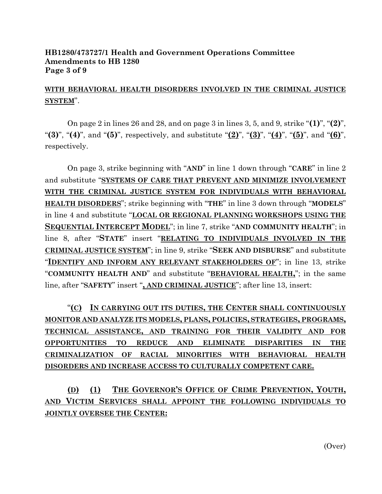#### **HB1280/473727/1 Health and Government Operations Committee Amendments to HB 1280 Page 3 of 9**

## **WITH BEHAVIORAL HEALTH DISORDERS INVOLVED IN THE CRIMINAL JUSTICE SYSTEM**".

On page 2 in lines 26 and 28, and on page 3 in lines 3, 5, and 9, strike "**(1)**", "**(2)**", "**(3)**", "**(4)**", and "**(5)**", respectively, and substitute "**(2)**", "**(3)**", "**(4)**", "**(5)**", and "**(6)**", respectively.

On page 3, strike beginning with "**AND**" in line 1 down through "**CARE**" in line 2 and substitute "**SYSTEMS OF CARE THAT PREVENT AND MINIMIZE INVOLVEMENT WITH THE CRIMINAL JUSTICE SYSTEM FOR INDIVIDUALS WITH BEHAVIORAL HEALTH DISORDERS**"; strike beginning with "**THE**" in line 3 down through "**MODELS**" in line 4 and substitute "**LOCAL OR REGIONAL PLANNING WORKSHOPS USING THE SEQUENTIAL INTERCEPT MODEL**"; in line 7, strike "**AND COMMUNITY HEALTH**"; in line 8, after "**STATE**" insert "**RELATING TO INDIVIDUALS INVOLVED IN THE CRIMINAL JUSTICE SYSTEM**"; in line 9, strike "**SEEK AND DISBURSE**" and substitute "**IDENTIFY AND INFORM ANY RELEVANT STAKEHOLDERS OF**"; in line 13, strike "**COMMUNITY HEALTH AND**" and substitute "**BEHAVIORAL HEALTH,**"; in the same line, after "**SAFETY**" insert "**, AND CRIMINAL JUSTICE**"; after line 13, insert:

"**(C) IN CARRYING OUT ITS DUTIES, THE CENTER SHALL CONTINUOUSLY MONITOR AND ANALYZE ITS MODELS, PLANS, POLICIES, STRATEGIES, PROGRAMS, TECHNICAL ASSISTANCE, AND TRAINING FOR THEIR VALIDITY AND FOR OPPORTUNITIES TO REDUCE AND ELIMINATE DISPARITIES IN THE CRIMINALIZATION OF RACIAL MINORITIES WITH BEHAVIORAL HEALTH DISORDERS AND INCREASE ACCESS TO CULTURALLY COMPETENT CARE.** 

**(D) (1) THE GOVERNOR'S OFFICE OF CRIME PREVENTION, YOUTH, AND VICTIM SERVICES SHALL APPOINT THE FOLLOWING INDIVIDUALS TO JOINTLY OVERSEE THE CENTER:**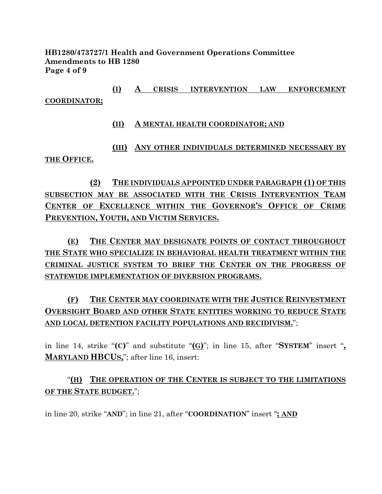**HB1280/473727/1 Health and Government Operations Committee Amendments to HB 1280 Page 4 of 9**

**(I) A CRISIS INTERVENTION LAW ENFORCEMENT COORDINATOR;**

**(II) A MENTAL HEALTH COORDINATOR; AND**

**(III) ANY OTHER INDIVIDUALS DETERMINED NECESSARY BY THE OFFICE.**

**(2) THE INDIVIDUALS APPOINTED UNDER PARAGRAPH (1) OF THIS SUBSECTION MAY BE ASSOCIATED WITH THE CRISIS INTERVENTION TEAM CENTER OF EXCELLENCE WITHIN THE GOVERNOR'S OFFICE OF CRIME PREVENTION, YOUTH, AND VICTIM SERVICES.**

**(E) THE CENTER MAY DESIGNATE POINTS OF CONTACT THROUGHOUT THE STATE WHO SPECIALIZE IN BEHAVIORAL HEALTH TREATMENT WITHIN THE CRIMINAL JUSTICE SYSTEM TO BRIEF THE CENTER ON THE PROGRESS OF STATEWIDE IMPLEMENTATION OF DIVERSION PROGRAMS.**

**(F) THE CENTER MAY COORDINATE WITH THE JUSTICE REINVESTMENT OVERSIGHT BOARD AND OTHER STATE ENTITIES WORKING TO REDUCE STATE AND LOCAL DETENTION FACILITY POPULATIONS AND RECIDIVISM.**";

in line 14, strike "**(C)**" and substitute "**(G)**"; in line 15, after "**SYSTEM**" insert "**, MARYLAND HBCUS,**"; after line 16, insert:

"**(H) THE OPERATION OF THE CENTER IS SUBJECT TO THE LIMITATIONS OF THE STATE BUDGET.**";

in line 20, strike "**AND**"; in line 21, after "**COORDINATION**" insert "**; AND**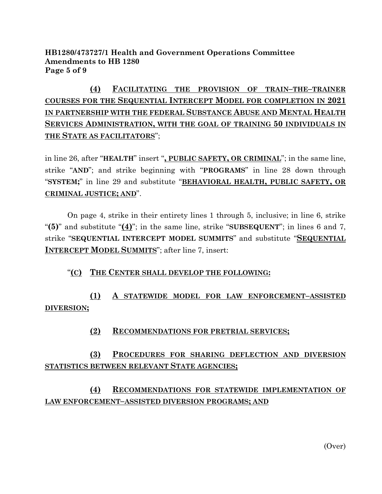### **HB1280/473727/1 Health and Government Operations Committee Amendments to HB 1280 Page 5 of 9**

# **(4) FACILITATING THE PROVISION OF TRAIN–THE–TRAINER COURSES FOR THE SEQUENTIAL INTERCEPT MODEL FOR COMPLETION IN 2021 IN PARTNERSHIP WITH THE FEDERAL SUBSTANCE ABUSE AND MENTAL HEALTH SERVICES ADMINISTRATION, WITH THE GOAL OF TRAINING 50 INDIVIDUALS IN THE STATE AS FACILITATORS**";

in line 26, after "**HEALTH**" insert "**, PUBLIC SAFETY, OR CRIMINAL**"; in the same line, strike "**AND**"; and strike beginning with "**PROGRAMS**" in line 28 down through "**SYSTEM;**" in line 29 and substitute "**BEHAVIORAL HEALTH, PUBLIC SAFETY, OR CRIMINAL JUSTICE; AND**".

On page 4, strike in their entirety lines 1 through 5, inclusive; in line 6, strike "**(5)**" and substitute "**(4)**"; in the same line, strike "**SUBSEQUENT**"; in lines 6 and 7, strike "**SEQUENTIAL INTERCEPT MODEL SUMMITS**" and substitute "**SEQUENTIAL INTERCEPT MODEL SUMMITS**"; after line 7, insert:

### "**(C) THE CENTER SHALL DEVELOP THE FOLLOWING:**

# **(1) A STATEWIDE MODEL FOR LAW ENFORCEMENT–ASSISTED DIVERSION;**

### **(2) RECOMMENDATIONS FOR PRETRIAL SERVICES;**

# **(3) PROCEDURES FOR SHARING DEFLECTION AND DIVERSION STATISTICS BETWEEN RELEVANT STATE AGENCIES;**

# **(4) RECOMMENDATIONS FOR STATEWIDE IMPLEMENTATION OF LAW ENFORCEMENT–ASSISTED DIVERSION PROGRAMS; AND**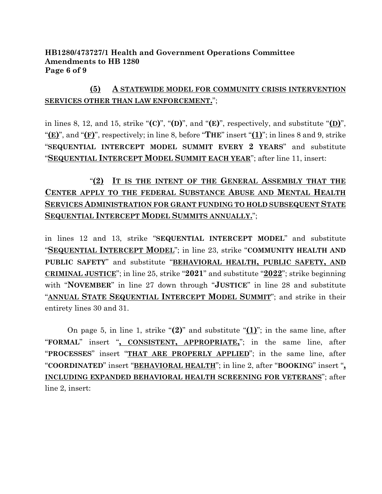### **HB1280/473727/1 Health and Government Operations Committee Amendments to HB 1280 Page 6 of 9**

## **(5) A STATEWIDE MODEL FOR COMMUNITY CRISIS INTERVENTION SERVICES OTHER THAN LAW ENFORCEMENT.**";

in lines 8, 12, and 15, strike " $(C)$ ", " $(D)$ ", and " $(E)$ ", respectively, and substitute " $(D)$ ", "**(E)**", and "**(F)**", respectively; in line 8, before "**THE**" insert "**(1)**"; in lines 8 and 9, strike "**SEQUENTIAL INTERCEPT MODEL SUMMIT EVERY 2 YEARS**" and substitute "**SEQUENTIAL INTERCEPT MODEL SUMMIT EACH YEAR**"; after line 11, insert:

# "**(2) IT IS THE INTENT OF THE GENERAL ASSEMBLY THAT THE CENTER APPLY TO THE FEDERAL SUBSTANCE ABUSE AND MENTAL HEALTH SERVICES ADMINISTRATION FOR GRANT FUNDING TO HOLD SUBSEQUENT STATE SEQUENTIAL INTERCEPT MODEL SUMMITS ANNUALLY.**";

in lines 12 and 13, strike "**SEQUENTIAL INTERCEPT MODEL**" and substitute "**SEQUENTIAL INTERCEPT MODEL**"; in line 23, strike "**COMMUNITY HEALTH AND PUBLIC SAFETY**" and substitute "**BEHAVIORAL HEALTH, PUBLIC SAFETY, AND CRIMINAL JUSTICE**"; in line 25, strike "**2021**" and substitute "**2022**"; strike beginning with "**NOVEMBER**" in line 27 down through "**JUSTICE**" in line 28 and substitute "**ANNUAL STATE SEQUENTIAL INTERCEPT MODEL SUMMIT**"; and strike in their entirety lines 30 and 31.

On page 5, in line 1, strike "**(2)**" and substitute "**(1)**"; in the same line, after "**FORMAL**" insert "**, CONSISTENT, APPROPRIATE,**"; in the same line, after "**PROCESSES**" insert "**THAT ARE PROPERLY APPLIED**"; in the same line, after "**COORDINATED**" insert "**BEHAVIORAL HEALTH**"; in line 2, after "**BOOKING**" insert "**, INCLUDING EXPANDED BEHAVIORAL HEALTH SCREENING FOR VETERANS**"; after line 2, insert: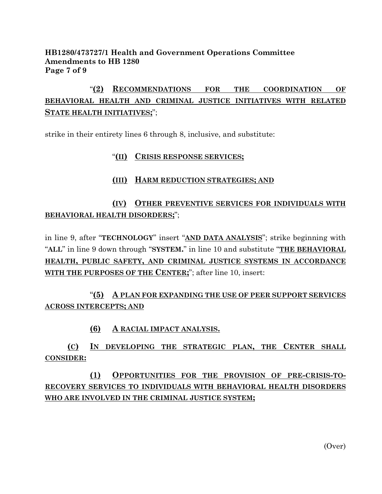### **HB1280/473727/1 Health and Government Operations Committee Amendments to HB 1280 Page 7 of 9**

# "**(2) RECOMMENDATIONS FOR THE COORDINATION OF BEHAVIORAL HEALTH AND CRIMINAL JUSTICE INITIATIVES WITH RELATED STATE HEALTH INITIATIVES;**";

strike in their entirety lines 6 through 8, inclusive, and substitute:

### "**(II) CRISIS RESPONSE SERVICES;**

### **(III) HARM REDUCTION STRATEGIES; AND**

## **(IV) OTHER PREVENTIVE SERVICES FOR INDIVIDUALS WITH BEHAVIORAL HEALTH DISORDERS;**";

in line 9, after "**TECHNOLOGY**" insert "**AND DATA ANALYSIS**"; strike beginning with "**ALL**" in line 9 down through "**SYSTEM.**" in line 10 and substitute "**THE BEHAVIORAL HEALTH, PUBLIC SAFETY, AND CRIMINAL JUSTICE SYSTEMS IN ACCORDANCE WITH THE PURPOSES OF THE CENTER;**"; after line 10, insert:

## "**(5) A PLAN FOR EXPANDING THE USE OF PEER SUPPORT SERVICES ACROSS INTERCEPTS; AND**

### **(6) A RACIAL IMPACT ANALYSIS.**

**(C) IN DEVELOPING THE STRATEGIC PLAN, THE CENTER SHALL CONSIDER:**

# **(1) OPPORTUNITIES FOR THE PROVISION OF PRE-CRISIS-TO-RECOVERY SERVICES TO INDIVIDUALS WITH BEHAVIORAL HEALTH DISORDERS WHO ARE INVOLVED IN THE CRIMINAL JUSTICE SYSTEM;**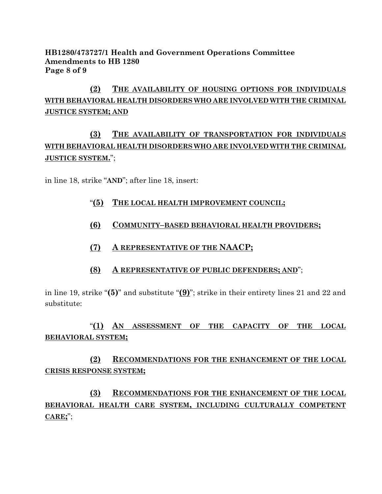### **HB1280/473727/1 Health and Government Operations Committee Amendments to HB 1280 Page 8 of 9**

# **(2) THE AVAILABILITY OF HOUSING OPTIONS FOR INDIVIDUALS WITH BEHAVIORAL HEALTH DISORDERS WHO ARE INVOLVED WITH THE CRIMINAL JUSTICE SYSTEM; AND**

# **(3) THE AVAILABILITY OF TRANSPORTATION FOR INDIVIDUALS WITH BEHAVIORAL HEALTH DISORDERS WHO ARE INVOLVED WITH THE CRIMINAL JUSTICE SYSTEM.**";

in line 18, strike "**AND**"; after line 18, insert:

- "**(5) THE LOCAL HEALTH IMPROVEMENT COUNCIL;**
- **(6) COMMUNITY–BASED BEHAVIORAL HEALTH PROVIDERS;**
- **(7) A REPRESENTATIVE OF THE NAACP;**
- **(8) A REPRESENTATIVE OF PUBLIC DEFENDERS; AND**";

in line 19, strike "**(5)**" and substitute "**(9)**"; strike in their entirety lines 21 and 22 and substitute:

"**(1) AN ASSESSMENT OF THE CAPACITY OF THE LOCAL BEHAVIORAL SYSTEM;**

**(2) RECOMMENDATIONS FOR THE ENHANCEMENT OF THE LOCAL CRISIS RESPONSE SYSTEM;**

**(3) RECOMMENDATIONS FOR THE ENHANCEMENT OF THE LOCAL BEHAVIORAL HEALTH CARE SYSTEM, INCLUDING CULTURALLY COMPETENT CARE;**";